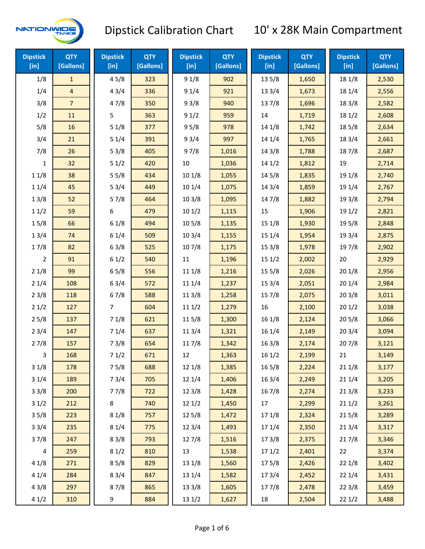

| <b>Dipstick</b><br>[in] | <b>QTY</b><br>[Gallons] | <b>Dipstick</b><br>[in] | <b>QTY</b><br>[Gallons] | <b>Dipstick</b><br>[in] | <b>QTY</b><br>[Gallons] | <b>Dipstick</b><br>[in] | <b>QTY</b><br>[Gallons] | <b>Dipstick</b><br>$[$ in] | <b>QTY</b><br>[Gallons] |
|-------------------------|-------------------------|-------------------------|-------------------------|-------------------------|-------------------------|-------------------------|-------------------------|----------------------------|-------------------------|
| 1/8                     | $\mathbf{1}$            | 45/8                    | 323                     | 91/8                    | 902                     | 13 5/8                  | 1,650                   | 18 1/8                     | 2,530                   |
| 1/4                     | $\overline{4}$          | 43/4                    | 336                     | 91/4                    | 921                     | 133/4                   | 1,673                   | 18 1/4                     | 2,556                   |
| 3/8                     | $\overline{7}$          | 47/8                    | 350                     | 93/8                    | 940                     | 137/8                   | 1,696                   | 18 3/8                     | 2,582                   |
| 1/2                     | 11                      | 5                       | 363                     | 91/2                    | 959                     | 14                      | 1,719                   | 18 1/2                     | 2,608                   |
| 5/8                     | 16                      | $51/8$                  | 377                     | 95/8                    | 978                     | 14 1/8                  | 1,742                   | 185/8                      | 2,634                   |
| 3/4                     | 21                      | 51/4                    | 391                     | 93/4                    | 997                     | 14 1/4                  | 1,765                   | 18 3/4                     | 2,661                   |
| 7/8                     | 26                      | 53/8                    | 405                     | 97/8                    | 1,016                   | 14 3/8                  | 1,788                   | 187/8                      | 2,687                   |
| 1                       | 32                      | 51/2                    | 420                     | 10                      | 1,036                   | 141/2                   | 1,812                   | 19                         | 2,714                   |
| 11/8                    | 38                      | 55/8                    | 434                     | 101/8                   | 1,055                   | 14 5/8                  | 1,835                   | 19 1/8                     | 2,740                   |
| 11/4                    | 45                      | 53/4                    | 449                     | 101/4                   | 1,075                   | 143/4                   | 1,859                   | 19 1/4                     | 2,767                   |
| 13/8                    | 52                      | 57/8                    | 464                     | 103/8                   | 1,095                   | 147/8                   | 1,882                   | 19 3/8                     | 2,794                   |
| 11/2                    | 59                      | 6                       | 479                     | 101/2                   | 1,115                   | 15                      | 1,906                   | 19 1/2                     | 2,821                   |
| 15/8                    | 66                      | 61/8                    | 494                     | 10 <sub>5/8</sub>       | 1,135                   | 15 1/8                  | 1,930                   | 195/8                      | 2,848                   |
| 13/4                    | 74                      | 61/4                    | 509                     | 103/4                   | 1,155                   | 151/4                   | 1,954                   | 19 3/4                     | 2,875                   |
| 17/8                    | 82                      | 63/8                    | 525                     | 107/8                   | 1,175                   | 153/8                   | 1,978                   | 197/8                      | 2,902                   |
| 2                       | 91                      | 61/2                    | 540                     | 11                      | 1,196                   | 151/2                   | 2,002                   | 20                         | 2,929                   |
| 21/8                    | 99                      | 65/8                    | 556                     | 11 1/8                  | 1,216                   | 15 5/8                  | 2,026                   | 201/8                      | 2,956                   |
| 21/4                    | 108                     | 63/4                    | 572                     | 11 1/4                  | 1,237                   | 153/4                   | 2,051                   | 201/4                      | 2,984                   |
| 23/8                    | 118                     | 67/8                    | 588                     | 11 3/8                  | 1,258                   | 15 7/8                  | 2,075                   | 203/8                      | 3,011                   |
| 21/2                    | 127                     | 7                       | 604                     | 111/2                   | 1,279                   | 16                      | 2,100                   | 201/2                      | 3,038                   |
| 25/8                    | 137                     | 71/8                    | 621                     | 11 5/8                  | 1,300                   | 16 1/8                  | 2,124                   | 205/8                      | 3,066                   |
| 23/4                    | 147                     | 71/4                    | 637                     | 113/4                   | 1,321                   | 16 1/4                  | 2,149                   | 203/4                      | 3,094                   |
| 27/8                    | 157                     | 73/8                    | 654                     | 117/8                   | 1,342                   | 163/8                   | 2,174                   | 207/8                      | 3,121                   |
| 3                       | 168                     | 71/2                    | 671                     | 12                      | 1,363                   | 16 1/2                  | 2,199                   | 21                         | 3,149                   |
| 31/8                    | 178                     | 75/8                    | 688                     | 12 1/8                  | 1,385                   | 16 5/8                  | 2,224                   | 211/8                      | 3,177                   |
| 31/4                    | 189                     | 73/4                    | 705                     | 12 1/4                  | 1,406                   | 16 3/4                  | 2,249                   | 211/4                      | 3,205                   |
| 33/8                    | 200                     | 77/8                    | 722                     | 12 3/8                  | 1,428                   | 16 7/8                  | 2,274                   | 213/8                      | 3,233                   |
| 31/2                    | 212                     | 8                       | 740                     | 121/2                   | 1,450                   | 17                      | 2,299                   | 211/2                      | 3,261                   |
| 35/8                    | 223                     | 81/8                    | 757                     | 12 5/8                  | 1,472                   | 17 1/8                  | 2,324                   | 215/8                      | 3,289                   |
| 33/4                    | 235                     | 81/4                    | 775                     | 12 3/4                  | 1,493                   | 17 1/4                  | 2,350                   | 213/4                      | 3,317                   |
| 37/8                    | 247                     | 83/8                    | 793                     | 12 7/8                  | 1,516                   | 173/8                   | 2,375                   | 217/8                      | 3,346                   |
| 4                       | 259                     | 81/2                    | 810                     | 13                      | 1,538                   | 171/2                   | 2,401                   | 22                         | 3,374                   |
| 41/8                    | 271                     | 85/8                    | 829                     | $13 \frac{1}{8}$        | 1,560                   | 175/8                   | 2,426                   | 22 1/8                     | 3,402                   |
| 41/4                    | 284                     | 83/4                    | 847                     | 13 1/4                  | 1,582                   | 17 3/4                  | 2,452                   | 221/4                      | 3,431                   |
| 43/8                    | 297                     | 87/8                    | 865                     | 13 3/8                  | 1,605                   | 177/8                   | 2,478                   | 223/8                      | 3,459                   |
| 41/2                    | 310                     | 9                       | 884                     | 13 1/2                  | 1,627                   | 18                      | 2,504                   | 221/2                      | 3,488                   |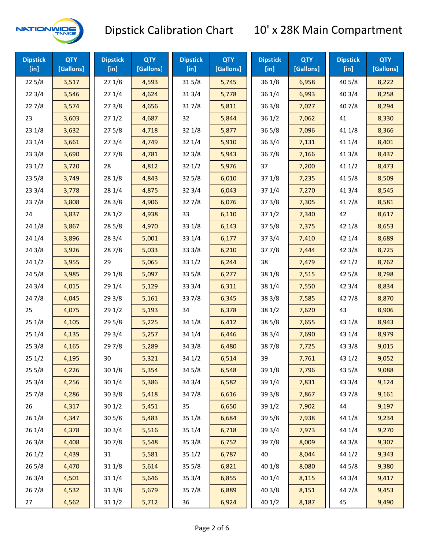

| <b>Dipstick</b><br>$[$ in] | <b>QTY</b><br>[Gallons] | <b>Dipstick</b><br>$[$ in] | <b>QTY</b><br>[Gallons] | <b>Dipstick</b><br>$[$ in] | <b>QTY</b><br>[Gallons] | <b>Dipstick</b><br>$[$ in] | <b>QTY</b><br>[Gallons] | <b>Dipstick</b><br>$[$ in] | <b>QTY</b><br>[Gallons] |
|----------------------------|-------------------------|----------------------------|-------------------------|----------------------------|-------------------------|----------------------------|-------------------------|----------------------------|-------------------------|
| 225/8                      | 3,517                   | 271/8                      | 4,593                   | 315/8                      | 5,745                   | 36 1/8                     | 6,958                   | 40 5/8                     | 8,222                   |
| 223/4                      | 3,546                   | 271/4                      | 4,624                   | 31 3/4                     | 5,778                   | 36 1/4                     | 6,993                   | 40 3/4                     | 8,258                   |
| 227/8                      | 3,574                   | 273/8                      | 4,656                   | 317/8                      | 5,811                   | 363/8                      | 7,027                   | 407/8                      | 8,294                   |
| 23                         | 3,603                   | 271/2                      | 4,687                   | 32                         | 5,844                   | 361/2                      | 7,062                   | 41                         | 8,330                   |
| 231/8                      | 3,632                   | 275/8                      | 4,718                   | 321/8                      | 5,877                   | $36\,5/8$                  | 7,096                   | 41 1/8                     | 8,366                   |
| 231/4                      | 3,661                   | 273/4                      | 4,749                   | 32 1/4                     | 5,910                   | 363/4                      | 7,131                   | 41 1/4                     | 8,401                   |
| 233/8                      | 3,690                   | 277/8                      | 4,781                   | 323/8                      | 5,943                   | 367/8                      | 7,166                   | 41 3/8                     | 8,437                   |
| 231/2                      | 3,720                   | 28                         | 4,812                   | 321/2                      | 5,976                   | 37                         | 7,200                   | 411/2                      | 8,473                   |
| 235/8                      | 3,749                   | 28 1/8                     | 4,843                   | 325/8                      | 6,010                   | 371/8                      | 7,235                   | 41 5/8                     | 8,509                   |
| 233/4                      | 3,778                   | 28 1/4                     | 4,875                   | 32 3/4                     | 6,043                   | 37 1/4                     | 7,270                   | 41 3/4                     | 8,545                   |
| 237/8                      | 3,808                   | 28 3/8                     | 4,906                   | 327/8                      | 6,076                   | 37 3/8                     | 7,305                   | 417/8                      | 8,581                   |
| 24                         | 3,837                   | 28 1/2                     | 4,938                   | 33                         | 6,110                   | 371/2                      | 7,340                   | 42                         | 8,617                   |
| 24 1/8                     | 3,867                   | 28 5/8                     | 4,970                   | 33 1/8                     | 6,143                   | 375/8                      | 7,375                   | 42 1/8                     | 8,653                   |
| 241/4                      | 3,896                   | 283/4                      | 5,001                   | 33 1/4                     | 6,177                   | 373/4                      | 7,410                   | 42 1/4                     | 8,689                   |
| 243/8                      | 3,926                   | 287/8                      | 5,033                   | 33 3/8                     | 6,210                   | 377/8                      | 7,444                   | 42 3/8                     | 8,725                   |
| 241/2                      | 3,955                   | 29                         | 5,065                   | 331/2                      | 6,244                   | 38                         | 7,479                   | 421/2                      | 8,762                   |
| 245/8                      | 3,985                   | 29 1/8                     | 5,097                   | 33 5/8                     | 6,277                   | 38 1/8                     | 7,515                   | 42 5/8                     | 8,798                   |
| 243/4                      | 4,015                   | 29 1/4                     | 5,129                   | 33 3/4                     | 6,311                   | 38 1/4                     | 7,550                   | 42 3/4                     | 8,834                   |
| 24 7/8                     | 4,045                   | 29 3/8                     | 5,161                   | 337/8                      | 6,345                   | 38 3/8                     | 7,585                   | 42 7/8                     | 8,870                   |
| 25                         | 4,075                   | 29 1/2                     | 5,193                   | 34                         | 6,378                   | 38 1/2                     | 7,620                   | 43                         | 8,906                   |
| 251/8                      | 4,105                   | 29 5/8                     | 5,225                   | 34 1/8                     | 6,412                   | 38 5/8                     | 7,655                   | 43 1/8                     | 8,943                   |
| 251/4                      | 4,135                   | 29 3/4                     | 5,257                   | 34 1/4                     | 6,446                   | 38 3/4                     | 7,690                   | 43 1/4                     | 8,979                   |
| 253/8                      | 4,165                   | 297/8                      | 5,289                   | 34 3/8                     | 6,480                   | 387/8                      | 7,725                   | 43 3/8                     | 9,015                   |
| 251/2                      | 4,195                   | 30                         | 5,321                   | 34 1/2                     | 6,514                   | 39                         | 7,761                   | 43 1/2                     | 9,052                   |
| 255/8                      | 4,226                   | 30 1/8                     | 5,354                   | 34 5/8                     | 6,548                   | 39 1/8                     | 7,796                   | 43 5/8                     | 9,088                   |
| 253/4                      | 4,256                   | 30 1/4                     | 5,386                   | 34 3/4                     | 6,582                   | 39 1/4                     | 7,831                   | 43 3/4                     | 9,124                   |
| 257/8                      | 4,286                   | 303/8                      | 5,418                   | 347/8                      | 6,616                   | 39 3/8                     | 7,867                   | 437/8                      | 9,161                   |
| 26                         | 4,317                   | 301/2                      | 5,451                   | 35                         | 6,650                   | 39 1/2                     | 7,902                   | 44                         | 9,197                   |
| 26 1/8                     | 4,347                   | 30 <sub>5/8</sub>          | 5,483                   | 35 1/8                     | 6,684                   | 39 5/8                     | 7,938                   | 44 1/8                     | 9,234                   |
| 26 1/4                     | 4,378                   | 30 3/4                     | 5,516                   | 35 1/4                     | 6,718                   | 39 3/4                     | 7,973                   | 44 1/4                     | 9,270                   |
| 263/8                      | 4,408                   | 307/8                      | 5,548                   | 35 3/8                     | 6,752                   | 397/8                      | 8,009                   | 44 3/8                     | 9,307                   |
| 261/2                      | 4,439                   | 31                         | 5,581                   | 351/2                      | 6,787                   | 40                         | 8,044                   | 44 1/2                     | 9,343                   |
| 26 5/8                     | 4,470                   | 31 1/8                     | 5,614                   | 35 5/8                     | 6,821                   | 40 1/8                     | 8,080                   | 44 5/8                     | 9,380                   |
| 263/4                      | 4,501                   | 31 1/4                     | 5,646                   | 35 3/4                     | 6,855                   | 40 1/4                     | 8,115                   | 44 3/4                     | 9,417                   |
| 267/8                      | 4,532                   | 31 3/8                     | 5,679                   | 357/8                      | 6,889                   | 40 3/8                     | 8,151                   | 447/8                      | 9,453                   |
| 27                         | 4,562                   | 31 1/2                     | 5,712                   | 36                         | 6,924                   | 40 1/2                     | 8,187                   | 45                         | 9,490                   |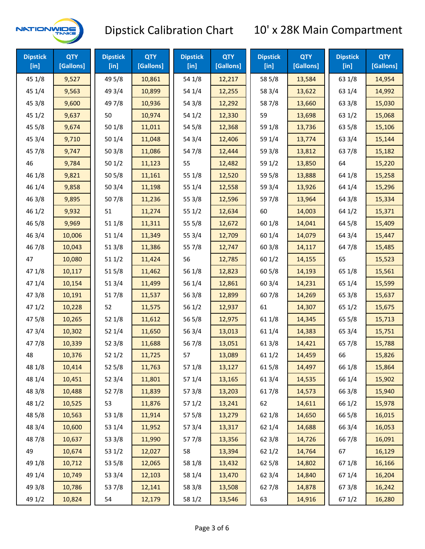

| <b>Dipstick</b><br>$\overline{[}$ in] | <b>QTY</b><br>[Gallons] | <b>Dipstick</b><br>[in] | <b>QTY</b><br>[Gallons] | <b>Dipstick</b><br>$\overline{[}$ in $\overline{]}$ | <b>QTY</b><br>[Gallons] | <b>Dipstick</b><br>$[$ in] | <b>QTY</b><br>[Gallons] | <b>Dipstick</b><br>[in] | <b>QTY</b><br>[Gallons] |
|---------------------------------------|-------------------------|-------------------------|-------------------------|-----------------------------------------------------|-------------------------|----------------------------|-------------------------|-------------------------|-------------------------|
| 45 1/8                                | 9,527                   | 49 5/8                  | 10,861                  | 54 1/8                                              | 12,217                  | 58 5/8                     | 13,584                  | 63 1/8                  | 14,954                  |
| 451/4                                 | 9,563                   | 49 3/4                  | 10,899                  | 54 1/4                                              | 12,255                  | 58 3/4                     | 13,622                  | 63 1/4                  | 14,992                  |
| 45 3/8                                | 9,600                   | 49 7/8                  | 10,936                  | 54 3/8                                              | 12,292                  | 587/8                      | 13,660                  | 63 3/8                  | 15,030                  |
| 451/2                                 | 9,637                   | 50                      | 10,974                  | 54 1/2                                              | 12,330                  | 59                         | 13,698                  | 63 1/2                  | 15,068                  |
| 45 5/8                                | 9,674                   | 501/8                   | 11,011                  | 54 5/8                                              | 12,368                  | 59 1/8                     | 13,736                  | 63 5/8                  | 15,106                  |
| 45 3/4                                | 9,710                   | 50 1/4                  | 11,048                  | 54 3/4                                              | 12,406                  | 59 1/4                     | 13,774                  | 63 3/4                  | 15,144                  |
| 45 7/8                                | 9,747                   | 503/8                   | 11,086                  | 54 7/8                                              | 12,444                  | 59 3/8                     | 13,812                  | 63 7/8                  | 15,182                  |
| 46                                    | 9,784                   | 501/2                   | 11,123                  | 55                                                  | 12,482                  | 59 1/2                     | 13,850                  | 64                      | 15,220                  |
| 46 1/8                                | 9,821                   | 505/8                   | 11,161                  | 55 1/8                                              | 12,520                  | 59 5/8                     | 13,888                  | 64 1/8                  | 15,258                  |
| 46 1/4                                | 9,858                   | 50 3/4                  | 11,198                  | 55 1/4                                              | 12,558                  | 59 3/4                     | 13,926                  | 64 1/4                  | 15,296                  |
| 46 3/8                                | 9,895                   | 507/8                   | 11,236                  | 55 3/8                                              | 12,596                  | 59 7/8                     | 13,964                  | 64 3/8                  | 15,334                  |
| 46 1/2                                | 9,932                   | 51                      | 11,274                  | 55 1/2                                              | 12,634                  | 60                         | 14,003                  | 64 1/2                  | 15,371                  |
| 46 5/8                                | 9,969                   | 51 1/8                  | 11,311                  | 555/8                                               | 12,672                  | 60 1/8                     | 14,041                  | 64 5/8                  | 15,409                  |
| 46 3/4                                | 10,006                  | 51 1/4                  | 11,349                  | 55 3/4                                              | 12,709                  | 60 1/4                     | 14,079                  | 64 3/4                  | 15,447                  |
| 46 7/8                                | 10,043                  | 513/8                   | 11,386                  | 55 7/8                                              | 12,747                  | 603/8                      | 14,117                  | 64 7/8                  | 15,485                  |
| 47                                    | 10,080                  | 511/2                   | 11,424                  | 56                                                  | 12,785                  | 601/2                      | 14,155                  | 65                      | 15,523                  |
| 47 1/8                                | 10,117                  | 515/8                   | 11,462                  | 56 1/8                                              | 12,823                  | 60 5/8                     | 14,193                  | 65 1/8                  | 15,561                  |
| 47 1/4                                | 10,154                  | 513/4                   | 11,499                  | 56 1/4                                              | 12,861                  | 60 3/4                     | 14,231                  | 65 1/4                  | 15,599                  |
| 47 3/8                                | 10,191                  | 517/8                   | 11,537                  | 563/8                                               | 12,899                  | 607/8                      | 14,269                  | 65 3/8                  | 15,637                  |
| 471/2                                 | 10,228                  | 52                      | 11,575                  | 56 1/2                                              | 12,937                  | 61                         | 14,307                  | 65 1/2                  | 15,675                  |
| 475/8                                 | 10,265                  | 52 1/8                  | 11,612                  | 56 5/8                                              | 12,975                  | 611/8                      | 14,345                  | 65 5/8                  | 15,713                  |
| 473/4                                 | 10,302                  | 52 1/4                  | 11,650                  | 56 3/4                                              | 13,013                  | 61 1/4                     | 14,383                  | 65 3/4                  | 15,751                  |
| 477/8                                 | 10,339                  | 523/8                   | 11,688                  | 567/8                                               | 13,051                  | 61 3/8                     | 14,421                  | 65 7/8                  | 15,788                  |
| 48                                    | 10,376                  | 521/2                   | 11,725                  | 57                                                  | 13,089                  | 611/2                      | 14,459                  | 66                      | 15,826                  |
| 48 1/8                                | 10,414                  | 525/8                   | 11,763                  | 57 1/8                                              | 13,127                  | 615/8                      | 14,497                  | 66 1/8                  | 15,864                  |
| 48 1/4                                | 10,451                  | 52 3/4                  | 11,801                  | 57 1/4                                              | 13,165                  | 613/4                      | 14,535                  | 66 1/4                  | 15,902                  |
| 48 3/8                                | 10,488                  | 527/8                   | 11,839                  | 57 3/8                                              | 13,203                  | 617/8                      | 14,573                  | 66 3/8                  | 15,940                  |
| 48 1/2                                | 10,525                  | 53                      | 11,876                  | 57 1/2                                              | 13,241                  | 62                         | 14,611                  | 66 1/2                  | 15,978                  |
| 48 5/8                                | 10,563                  | 53 1/8                  | 11,914                  | 57 5/8                                              | 13,279                  | 62 1/8                     | 14,650                  | 66 5/8                  | 16,015                  |
| 48 3/4                                | 10,600                  | 53 1/4                  | 11,952                  | 573/4                                               | 13,317                  | 62 1/4                     | 14,688                  | 66 3/4                  | 16,053                  |
| 487/8                                 | 10,637                  | 53 3/8                  | 11,990                  | 577/8                                               | 13,356                  | 62 3/8                     | 14,726                  | 667/8                   | 16,091                  |
| 49                                    | 10,674                  | 53 1/2                  | 12,027                  | 58                                                  | 13,394                  | 621/2                      | 14,764                  | 67                      | 16,129                  |
| 49 1/8                                | 10,712                  | 53 5/8                  | 12,065                  | 58 1/8                                              | 13,432                  | 62 5/8                     | 14,802                  | 671/8                   | 16,166                  |
| 49 1/4                                | 10,749                  | 53 3/4                  | 12,103                  | 58 1/4                                              | 13,470                  | 62 3/4                     | 14,840                  | 67 1/4                  | 16,204                  |
| 49 3/8                                | 10,786                  | 537/8                   | 12,141                  | 58 3/8                                              | 13,508                  | 627/8                      | 14,878                  | 673/8                   | 16,242                  |
| 49 1/2                                | 10,824                  | 54                      | 12,179                  | 58 1/2                                              | 13,546                  | 63                         | 14,916                  | 67 1/2                  | 16,280                  |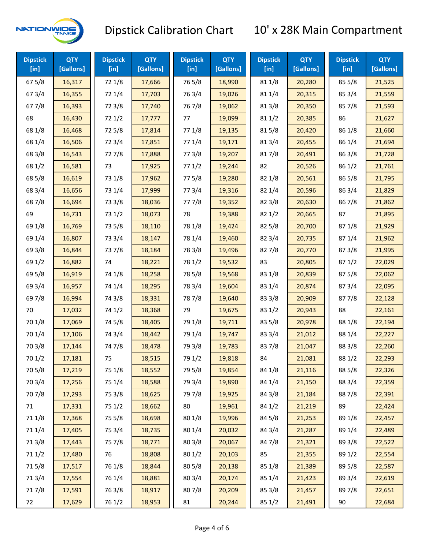

| <b>Dipstick</b><br>[in] | <b>QTY</b><br>[Gallons] | <b>Dipstick</b><br>$[$ in] | <b>QTY</b><br>[Gallons] | <b>Dipstick</b><br>$[$ in] | <b>QTY</b><br>[Gallons] | <b>Dipstick</b><br>$[$ in] | <b>QTY</b><br>[Gallons] | <b>Dipstick</b><br>$[$ in] | <b>QTY</b><br>[Gallons] |
|-------------------------|-------------------------|----------------------------|-------------------------|----------------------------|-------------------------|----------------------------|-------------------------|----------------------------|-------------------------|
| 67 5/8                  | 16,317                  | 72 1/8                     | 17,666                  | 765/8                      | 18,990                  | 81 1/8                     | 20,280                  | 85 5/8                     | 21,525                  |
| 673/4                   | 16,355                  | 72 1/4                     | 17,703                  | 763/4                      | 19,026                  | 81 1/4                     | 20,315                  | 85 3/4                     | 21,559                  |
| 677/8                   | 16,393                  | 72 3/8                     | 17,740                  | 767/8                      | 19,062                  | 81 3/8                     | 20,350                  | 857/8                      | 21,593                  |
| 68                      | 16,430                  | 721/2                      | 17,777                  | 77                         | 19,099                  | 81 1/2                     | 20,385                  | 86                         | 21,627                  |
| 68 1/8                  | 16,468                  | 725/8                      | 17,814                  | 77 1/8                     | 19,135                  | 815/8                      | 20,420                  | 86 1/8                     | 21,660                  |
| 68 1/4                  | 16,506                  | 72 3/4                     | 17,851                  | 77 1/4                     | 19,171                  | 813/4                      | 20,455                  | 86 1/4                     | 21,694                  |
| 68 3/8                  | 16,543                  | 727/8                      | 17,888                  | 77 3/8                     | 19,207                  | 817/8                      | 20,491                  | 86 3/8                     | 21,728                  |
| 68 1/2                  | 16,581                  | 73                         | 17,925                  | 771/2                      | 19,244                  | 82                         | 20,526                  | 86 1/2                     | 21,761                  |
| 68 5/8                  | 16,619                  | 73 1/8                     | 17,962                  | 775/8                      | 19,280                  | 82 1/8                     | 20,561                  | 86 5/8                     | 21,795                  |
| 68 3/4                  | 16,656                  | 73 1/4                     | 17,999                  | 773/4                      | 19,316                  | 82 1/4                     | 20,596                  | 86 3/4                     | 21,829                  |
| 687/8                   | 16,694                  | 73 3/8                     | 18,036                  | 777/8                      | 19,352                  | 82 3/8                     | 20,630                  | 867/8                      | 21,862                  |
| 69                      | 16,731                  | 73 1/2                     | 18,073                  | 78                         | 19,388                  | 82 1/2                     | 20,665                  | 87                         | 21,895                  |
| 69 1/8                  | 16,769                  | 73 5/8                     | 18,110                  | 78 1/8                     | 19,424                  | 82 5/8                     | 20,700                  | 871/8                      | 21,929                  |
| 69 1/4                  | 16,807                  | 73 3/4                     | 18,147                  | 78 1/4                     | 19,460                  | 82 3/4                     | 20,735                  | 871/4                      | 21,962                  |
| 69 3/8                  | 16,844                  | 737/8                      | 18,184                  | 78 3/8                     | 19,496                  | 827/8                      | 20,770                  | 873/8                      | 21,995                  |
| 69 1/2                  | 16,882                  | 74                         | 18,221                  | 78 1/2                     | 19,532                  | 83                         | 20,805                  | 871/2                      | 22,029                  |
| 69 5/8                  | 16,919                  | 74 1/8                     | 18,258                  | 78 5/8                     | 19,568                  | 83 1/8                     | 20,839                  | 87 5/8                     | 22,062                  |
| 69 3/4                  | 16,957                  | 74 1/4                     | 18,295                  | 78 3/4                     | 19,604                  | 83 1/4                     | 20,874                  | 87 3/4                     | 22,095                  |
| 697/8                   | 16,994                  | 74 3/8                     | 18,331                  | 787/8                      | 19,640                  | 83 3/8                     | 20,909                  | 877/8                      | 22,128                  |
| 70                      | 17,032                  | 74 1/2                     | 18,368                  | 79                         | 19,675                  | 83 1/2                     | 20,943                  | 88                         | 22,161                  |
| 70 1/8                  | 17,069                  | 74 5/8                     | 18,405                  | 79 1/8                     | 19,711                  | 83 5/8                     | 20,978                  | 88 1/8                     | 22,194                  |
| 70 1/4                  | 17,106                  | 74 3/4                     | 18,442                  | 79 1/4                     | 19,747                  | 83 3/4                     | 21,012                  | 88 1/4                     | 22,227                  |
| 70 3/8                  | 17,144                  | 747/8                      | 18,478                  | 79 3/8                     | 19,783                  | 837/8                      | 21,047                  | 88 3/8                     | 22,260                  |
| 70 1/2                  | 17,181                  | 75                         | 18,515                  | 79 1/2                     | 19,818                  | 84                         | 21,081                  | 88 1/2                     | 22,293                  |
| 70 5/8                  | 17,219                  | 75 1/8                     | 18,552                  | 79 5/8                     | 19,854                  | 84 1/8                     | 21,116                  | 88 5/8                     | 22,326                  |
| 70 3/4                  | 17,256                  | 75 1/4                     | 18,588                  | 79 3/4                     | 19,890                  | 84 1/4                     | 21,150                  | 88 3/4                     | 22,359                  |
| 70 7/8                  | 17,293                  | 75 3/8                     | 18,625                  | 79 7/8                     | 19,925                  | 84 3/8                     | 21,184                  | 887/8                      | 22,391                  |
| 71                      | 17,331                  | 75 1/2                     | 18,662                  | 80                         | 19,961                  | 84 1/2                     | 21,219                  | 89                         | 22,424                  |
| 71 1/8                  | 17,368                  | 75 5/8                     | 18,698                  | 80 1/8                     | 19,996                  | 84 5/8                     | 21,253                  | 89 1/8                     | 22,457                  |
| 71 1/4                  | 17,405                  | 75 3/4                     | 18,735                  | 80 1/4                     | 20,032                  | 84 3/4                     | 21,287                  | 89 1/4                     | 22,489                  |
| 713/8                   | 17,443                  | 75 7/8                     | 18,771                  | 80 3/8                     | 20,067                  | 84 7/8                     | 21,321                  | 89 3/8                     | 22,522                  |
| 71 1/2                  | 17,480                  | 76                         | 18,808                  | 80 1/2                     | 20,103                  | 85                         | 21,355                  | 89 1/2                     | 22,554                  |
| 715/8                   | 17,517                  | 76 1/8                     | 18,844                  | 80 5/8                     | 20,138                  | 85 1/8                     | 21,389                  | 89 5/8                     | 22,587                  |
| 713/4                   | 17,554                  | 76 1/4                     | 18,881                  | 80 3/4                     | 20,174                  | 85 1/4                     | 21,423                  | 89 3/4                     | 22,619                  |
| 717/8                   | 17,591                  | 763/8                      | 18,917                  | 807/8                      | 20,209                  | 85 3/8                     | 21,457                  | 897/8                      | 22,651                  |
| 72                      | 17,629                  | 76 1/2                     | 18,953                  | 81                         | 20,244                  | 85 1/2                     | 21,491                  | 90                         | 22,684                  |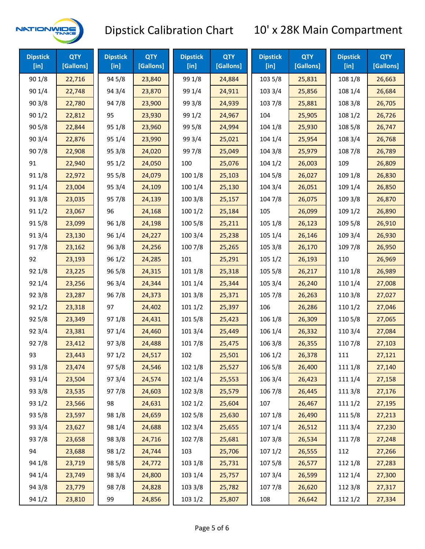

| <b>Dipstick</b><br>$[$ in] | <b>QTY</b><br>[Gallons] | <b>Dipstick</b><br>$[$ in] | <b>QTY</b><br>[Gallons] | <b>Dipstick</b><br>$[$ in] | <b>QTY</b><br>[Gallons] | <b>Dipstick</b><br>$[$ in] | <b>QTY</b><br>[Gallons] | <b>Dipstick</b><br>[in] | <b>QTY</b><br>[Gallons] |
|----------------------------|-------------------------|----------------------------|-------------------------|----------------------------|-------------------------|----------------------------|-------------------------|-------------------------|-------------------------|
| 90 1/8                     | 22,716                  | 94 5/8                     | 23,840                  | 99 1/8                     | 24,884                  | 103 5/8                    | 25,831                  | 108 1/8                 | 26,663                  |
| 90 1/4                     | 22,748                  | 94 3/4                     | 23,870                  | 99 1/4                     | 24,911                  | 103 3/4                    | 25,856                  | 108 1/4                 | 26,684                  |
| 903/8                      | 22,780                  | 947/8                      | 23,900                  | 99 3/8                     | 24,939                  | 103 7/8                    | 25,881                  | 108 3/8                 | 26,705                  |
| 90 1/2                     | 22,812                  | 95                         | 23,930                  | 99 1/2                     | 24,967                  | 104                        | 25,905                  | 108 1/2                 | 26,726                  |
| 90 5/8                     | 22,844                  | 95 1/8                     | 23,960                  | 99 5/8                     | 24,994                  | 104 1/8                    | 25,930                  | 108 5/8                 | 26,747                  |
| 90 3/4                     | 22,876                  | 95 1/4                     | 23,990                  | 99 3/4                     | 25,021                  | 104 1/4                    | 25,954                  | 108 3/4                 | 26,768                  |
| 907/8                      | 22,908                  | 95 3/8                     | 24,020                  | 997/8                      | 25,049                  | 104 3/8                    | 25,979                  | 108 7/8                 | 26,789                  |
| 91                         | 22,940                  | 95 1/2                     | 24,050                  | 100                        | 25,076                  | 1041/2                     | 26,003                  | 109                     | 26,809                  |
| 91 1/8                     | 22,972                  | 95 5/8                     | 24,079                  | 100 1/8                    | 25,103                  | 104 5/8                    | 26,027                  | 109 1/8                 | 26,830                  |
| 91 1/4                     | 23,004                  | 95 3/4                     | 24,109                  | 100 1/4                    | 25,130                  | 104 3/4                    | 26,051                  | 109 1/4                 | 26,850                  |
| 913/8                      | 23,035                  | 95 7/8                     | 24,139                  | 100 3/8                    | 25,157                  | 104 7/8                    | 26,075                  | 109 3/8                 | 26,870                  |
| 91 1/2                     | 23,067                  | 96                         | 24,168                  | 1001/2                     | 25,184                  | 105                        | 26,099                  | 109 1/2                 | 26,890                  |
| 915/8                      | 23,099                  | 96 1/8                     | 24,198                  | 100 5/8                    | 25,211                  | 105 1/8                    | 26,123                  | 109 5/8                 | 26,910                  |
| 913/4                      | 23,130                  | 96 1/4                     | 24,227                  | 100 3/4                    | 25,238                  | 105 1/4                    | 26,146                  | 109 3/4                 | 26,930                  |
| 917/8                      | 23,162                  | 96 3/8                     | 24,256                  | 100 7/8                    | 25,265                  | 105 3/8                    | 26,170                  | 109 7/8                 | 26,950                  |
| 92                         | 23,193                  | 96 1/2                     | 24,285                  | 101                        | 25,291                  | 105 1/2                    | 26,193                  | 110                     | 26,969                  |
| 92 1/8                     | 23,225                  | 96 5/8                     | 24,315                  | 101 1/8                    | 25,318                  | 105 5/8                    | 26,217                  | 110 1/8                 | 26,989                  |
| 92 1/4                     | 23,256                  | 963/4                      | 24,344                  | 101 1/4                    | 25,344                  | 105 3/4                    | 26,240                  | 110 1/4                 | 27,008                  |
| 92 3/8                     | 23,287                  | 967/8                      | 24,373                  | 101 3/8                    | 25,371                  | 105 7/8                    | 26,263                  | 110 3/8                 | 27,027                  |
| 921/2                      | 23,318                  | 97                         | 24,402                  | 1011/2                     | 25,397                  | 106                        | 26,286                  | 110 1/2                 | 27,046                  |
| 925/8                      | 23,349                  | 97 1/8                     | 24,431                  | 101 5/8                    | 25,423                  | 106 1/8                    | 26,309                  | 110 5/8                 | 27,065                  |
| 92 3/4                     | 23,381                  | 97 1/4                     | 24,460                  | 101 3/4                    | 25,449                  | 106 1/4                    | 26,332                  | 110 3/4                 | 27,084                  |
| 927/8                      | 23,412                  | 97 3/8                     | 24,488                  | 101 7/8                    | 25,475                  | 106 3/8                    | 26,355                  | 110 7/8                 | 27,103                  |
| 93                         | 23,443                  | 971/2                      | 24,517                  | 102                        | 25,501                  | 106 1/2                    | 26,378                  | 111                     | 27,121                  |
| 93 1/8                     | 23,474                  | 97 5/8                     | 24,546                  | 102 1/8                    | 25,527                  | 106 5/8                    | 26,400                  | 111 1/8                 | 27,140                  |
| 93 1/4                     | 23,504                  | 973/4                      | 24,574                  | 102 1/4                    | 25,553                  | 106 3/4                    | 26,423                  | 111 1/4                 | 27,158                  |
| 93 3/8                     | 23,535                  | 977/8                      | 24,603                  | 102 3/8                    | 25,579                  | 106 7/8                    | 26,445                  | 111 3/8                 | 27,176                  |
| 93 1/2                     | 23,566                  | 98                         | 24,631                  | 1021/2                     | 25,604                  | 107                        | 26,467                  | 1111/2                  | 27,195                  |
| 93 5/8                     | 23,597                  | 98 1/8                     | 24,659                  | 102 5/8                    | 25,630                  | 107 1/8                    | 26,490                  | 1115/8                  | 27,213                  |
| 93 3/4                     | 23,627                  | 98 1/4                     | 24,688                  | 102 3/4                    | 25,655                  | 107 1/4                    | 26,512                  | 111 3/4                 | 27,230                  |
| 937/8                      | 23,658                  | 98 3/8                     | 24,716                  | 102 7/8                    | 25,681                  | 1073/8                     | 26,534                  | 111 7/8                 | 27,248                  |
| 94                         | 23,688                  | 98 1/2                     | 24,744                  | 103                        | 25,706                  | 1071/2                     | 26,555                  | 112                     | 27,266                  |
| 94 1/8                     | 23,719                  | 98 5/8                     | 24,772                  | 103 1/8                    | 25,731                  | 1075/8                     | 26,577                  | 112 1/8                 | 27,283                  |
| 94 1/4                     | 23,749                  | 98 3/4                     | 24,800                  | 103 1/4                    | 25,757                  | 107 3/4                    | 26,599                  | 112 1/4                 | 27,300                  |
| 94 3/8                     | 23,779                  | 987/8                      | 24,828                  | 103 3/8                    | 25,782                  | 1077/8                     | 26,620                  | 112 3/8                 | 27,317                  |
| 94 1/2                     | 23,810                  | 99                         | 24,856                  | 103 1/2                    | 25,807                  | 108                        | 26,642                  | 112 1/2                 | 27,334                  |